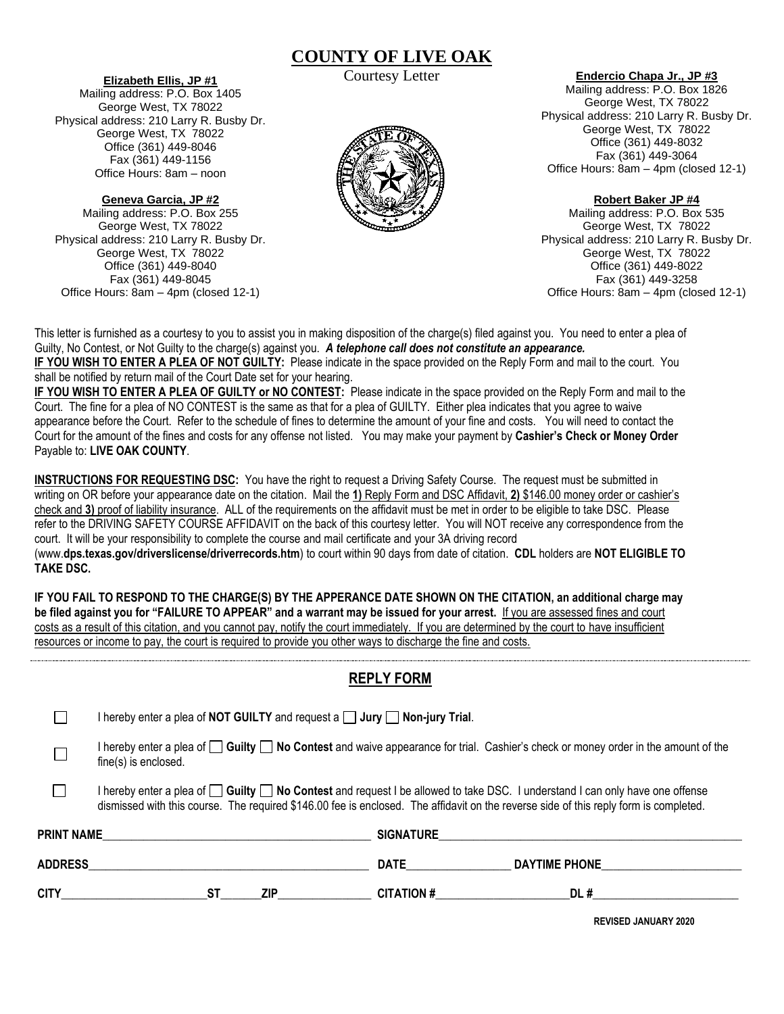## **COUNTY OF LIVE OAK**

Courtesy Letter

**Elizabeth Ellis, JP #1** Mailing address: P.O. Box 1405 George West, TX 78022 Physical address: 210 Larry R. Busby Dr. George West, TX 78022 Office (361) 449-8046 Fax (361) 449-1156 Office Hours: 8am – noon

**Geneva Garcia, JP #2** Mailing address: P.O. Box 255 George West, TX 78022 Physical address: 210 Larry R. Busby Dr. George West, TX 78022 Office (361) 449-8040 Fax (361) 449-8045 Office Hours: 8am – 4pm (closed 12-1)



## **Endercio Chapa Jr., JP #3**

Mailing address: P.O. Box 1826 George West, TX 78022 Physical address: 210 Larry R. Busby Dr. George West, TX 78022 Office (361) 449-8032 Fax (361) 449-3064 Office Hours: 8am – 4pm (closed 12-1)

### **Robert Baker JP #4**

Mailing address: P.O. Box 535 George West, TX 78022 Physical address: 210 Larry R. Busby Dr. George West, TX 78022 Office (361) 449-8022 Fax (361) 449-3258 Office Hours: 8am – 4pm (closed 12-1)

This letter is furnished as a courtesy to you to assist you in making disposition of the charge(s) filed against you. You need to enter a plea of Guilty, No Contest, or Not Guilty to the charge(s) against you. *A telephone call does not constitute an appearance.* **IF YOU WISH TO ENTER A PLEA OF NOT GUILTY:** Please indicate in the space provided on the Reply Form and mail to the court. You shall be notified by return mail of the Court Date set for your hearing.

**IF YOU WISH TO ENTER A PLEA OF GUILTY or NO CONTEST:** Please indicate in the space provided on the Reply Form and mail to the Court. The fine for a plea of NO CONTEST is the same as that for a plea of GUILTY. Either plea indicates that you agree to waive appearance before the Court. Refer to the schedule of fines to determine the amount of your fine and costs. You will need to contact the Court for the amount of the fines and costs for any offense not listed. You may make your payment by **Cashier's Check or Money Order** Payable to: **LIVE OAK COUNTY**.

**INSTRUCTIONS FOR REQUESTING DSC:** You have the right to request a Driving Safety Course. The request must be submitted in writing on OR before your appearance date on the citation. Mail the **1)** Reply Form and DSC Affidavit, **2)** \$146.00 money order or cashier's check and **3)** proof of liability insurance. ALL of the requirements on the affidavit must be met in order to be eligible to take DSC. Please refer to the DRIVING SAFETY COURSE AFFIDAVIT on the back of this courtesy letter. You will NOT receive any correspondence from the court. It will be your responsibility to complete the course and mail certificate and your 3A driving record (www.**dps.texas.gov/driverslicense/driverrecords.htm**) to court within 90 days from date of citation. **CDL** holders are **NOT ELIGIBLE TO TAKE DSC.**

**IF YOU FAIL TO RESPOND TO THE CHARGE(S) BY THE APPERANCE DATE SHOWN ON THE CITATION, an additional charge may be filed against you for "FAILURE TO APPEAR" and a warrant may be issued for your arrest.** If you are assessed fines and court costs as a result of this citation, and you cannot pay, notify the court immediately. If you are determined by the court to have insufficient resources or income to pay, the court is required to provide you other ways to discharge the fine and costs.

## **REPLY FORM**

|                   | I hereby enter a plea of NOT GUILTY and request a $\Box$ Jury $\Box$ Non-jury Trial.                                                                                                                                                                                             |                  |                      |  |  |  |  |  |  |  |
|-------------------|----------------------------------------------------------------------------------------------------------------------------------------------------------------------------------------------------------------------------------------------------------------------------------|------------------|----------------------|--|--|--|--|--|--|--|
|                   | I hereby enter a plea of $\Box$ Guilty $\Box$ No Contest and waive appearance for trial. Cashier's check or money order in the amount of the<br>fine(s) is enclosed.                                                                                                             |                  |                      |  |  |  |  |  |  |  |
|                   | I hereby enter a plea of $\Box$ Guilty $\Box$ No Contest and request I be allowed to take DSC. I understand I can only have one offense<br>dismissed with this course. The required \$146.00 fee is enclosed. The affidavit on the reverse side of this reply form is completed. |                  |                      |  |  |  |  |  |  |  |
| <b>PRINT NAME</b> |                                                                                                                                                                                                                                                                                  | <b>SIGNATURE</b> |                      |  |  |  |  |  |  |  |
| <b>ADDRESS</b>    |                                                                                                                                                                                                                                                                                  | <b>DATE</b>      | <b>DAYTIME PHONE</b> |  |  |  |  |  |  |  |
| <b>CITY</b>       | <b>ZIP</b><br>SТ                                                                                                                                                                                                                                                                 | <b>CITATION#</b> | DL#                  |  |  |  |  |  |  |  |

 **REVISED JANUARY 2020**